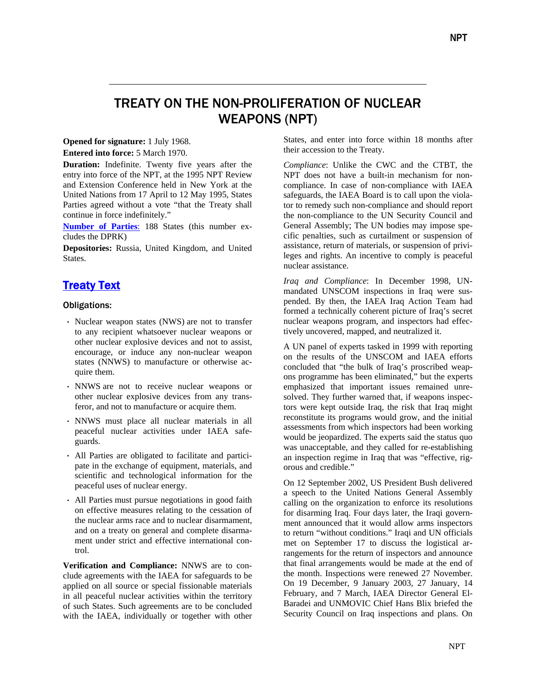# TREATY ON THE NON-PROLIFERATION OF NUCLEAR WEAPONS (NPT)

## **Opened for signature:** 1 July 1968.

**Entered into force:** 5 March 1970.

**Duration:** Indefinite. Twenty five years after the entry into force of the NPT, at the 1995 NPT Review and Extension Conference held in New York at the United Nations from 17 April to 12 May 1995, States Parties agreed without a vote "that the Treaty shall continue in force indefinitely."

**Number of Parties**: 188 States (this number excludes the DPRK)

**Depositories:** Russia, United Kingdom, and United States.

# Treaty Text

#### Obligations:

- ⋅ Nuclear weapon states (NWS) are not to transfer to any recipient whatsoever nuclear weapons or other nuclear explosive devices and not to assist, encourage, or induce any non-nuclear weapon states (NNWS) to manufacture or otherwise acquire them.
- ⋅ NNWS are not to receive nuclear weapons or other nuclear explosive devices from any transferor, and not to manufacture or acquire them.
- ⋅ NNWS must place all nuclear materials in all peaceful nuclear activities under IAEA safeguards.
- ⋅ All Parties are obligated to facilitate and participate in the exchange of equipment, materials, and scientific and technological information for the peaceful uses of nuclear energy.
- ⋅ All Parties must pursue negotiations in good faith on effective measures relating to the cessation of the nuclear arms race and to nuclear disarmament, and on a treaty on general and complete disarmament under strict and effective international control.

**Verification and Compliance:** NNWS are to conclude agreements with the IAEA for safeguards to be applied on all source or special fissionable materials in all peaceful nuclear activities within the territory of such States. Such agreements are to be concluded with the IAEA, individually or together with other States, and enter into force within 18 months after their accession to the Treaty.

*Compliance*: Unlike the CWC and the CTBT, the NPT does not have a built-in mechanism for noncompliance. In case of non-compliance with IAEA safeguards, the IAEA Board is to call upon the violator to remedy such non-compliance and should report the non-compliance to the UN Security Council and General Assembly; The UN bodies may impose specific penalties, such as curtailment or suspension of assistance, return of materials, or suspension of privileges and rights. An incentive to comply is peaceful nuclear assistance.

*Iraq and Compliance*: In December 1998, UNmandated UNSCOM inspections in Iraq were suspended. By then, the IAEA Iraq Action Team had formed a technically coherent picture of Iraq's secret nuclear weapons program, and inspectors had effectively uncovered, mapped, and neutralized it.

A UN panel of experts tasked in 1999 with reporting on the results of the UNSCOM and IAEA efforts concluded that "the bulk of Iraq's proscribed weapons programme has been eliminated," but the experts emphasized that important issues remained unresolved. They further warned that, if weapons inspectors were kept outside Iraq, the risk that Iraq might reconstitute its programs would grow, and the initial assessments from which inspectors had been working would be jeopardized. The experts said the status quo was unacceptable, and they called for re-establishing an inspection regime in Iraq that was "effective, rigorous and credible."

On 12 September 2002, US President Bush delivered a speech to the United Nations General Assembly calling on the organization to enforce its resolutions for disarming Iraq. Four days later, the Iraqi government announced that it would allow arms inspectors to return "without conditions." Iraqi and UN officials met on September 17 to discuss the logistical arrangements for the return of inspectors and announce that final arrangements would be made at the end of the month. Inspections were renewed 27 November. On 19 December, 9 January 2003, 27 January, 14 February, and 7 March, IAEA Director General El-Baradei and UNMOVIC Chief Hans Blix briefed the Security Council on Iraq inspections and plans. On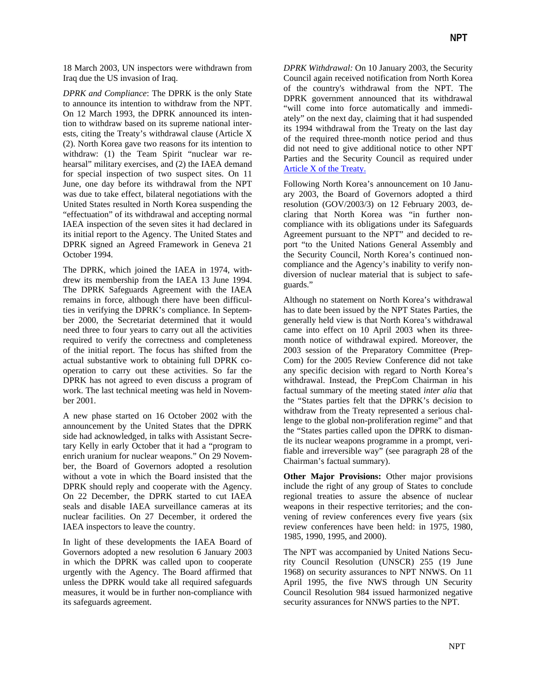18 March 2003, UN inspectors were withdrawn from Iraq due the US invasion of Iraq.

*DPRK and Compliance*: The DPRK is the only State to announce its intention to withdraw from the NPT. On 12 March 1993, the DPRK announced its intention to withdraw based on its supreme national interests, citing the Treaty's withdrawal clause (Article X (2). North Korea gave two reasons for its intention to withdraw: (1) the Team Spirit "nuclear war rehearsal" military exercises, and (2) the IAEA demand for special inspection of two suspect sites. On 11 June, one day before its withdrawal from the NPT was due to take effect, bilateral negotiations with the United States resulted in North Korea suspending the "effectuation" of its withdrawal and accepting normal IAEA inspection of the seven sites it had declared in its initial report to the Agency. The United States and DPRK signed an Agreed Framework in Geneva 21 October 1994.

The DPRK, which joined the IAEA in 1974, withdrew its membership from the IAEA 13 June 1994. The DPRK Safeguards Agreement with the IAEA remains in force, although there have been difficulties in verifying the DPRK's compliance. In September 2000, the Secretariat determined that it would need three to four years to carry out all the activities required to verify the correctness and completeness of the initial report. The focus has shifted from the actual substantive work to obtaining full DPRK cooperation to carry out these activities. So far the DPRK has not agreed to even discuss a program of work. The last technical meeting was held in November 2001.

A new phase started on 16 October 2002 with the announcement by the United States that the DPRK side had acknowledged, in talks with Assistant Secretary Kelly in early October that it had a "program to enrich uranium for nuclear weapons." On 29 November, the Board of Governors adopted a resolution without a vote in which the Board insisted that the DPRK should reply and cooperate with the Agency. On 22 December, the DPRK started to cut IAEA seals and disable IAEA surveillance cameras at its nuclear facilities. On 27 December, it ordered the IAEA inspectors to leave the country.

In light of these developments the IAEA Board of Governors adopted a new resolution 6 January 2003 in which the DPRK was called upon to cooperate urgently with the Agency. The Board affirmed that unless the DPRK would take all required safeguards measures, it would be in further non-compliance with its safeguards agreement.

*DPRK Withdrawal:* On 10 January 2003, the Security Council again received notification from North Korea of the country's withdrawal from the NPT. The DPRK government announced that its withdrawal "will come into force automatically and immediately" on the next day, claiming that it had suspended its 1994 withdrawal from the Treaty on the last day of the required three-month notice period and thus did not need to give additional notice to other NPT Parties and the Security Council as required under Article X of the Treaty.

Following North Korea's announcement on 10 January 2003, the Board of Governors adopted a third resolution (GOV/2003/3) on 12 February 2003, declaring that North Korea was "in further noncompliance with its obligations under its Safeguards Agreement pursuant to the NPT" and decided to report "to the United Nations General Assembly and the Security Council, North Korea's continued noncompliance and the Agency's inability to verify nondiversion of nuclear material that is subject to safeguards."

Although no statement on North Korea's withdrawal has to date been issued by the NPT States Parties, the generally held view is that North Korea's withdrawal came into effect on 10 April 2003 when its threemonth notice of withdrawal expired. Moreover, the 2003 session of the Preparatory Committee (Prep-Com) for the 2005 Review Conference did not take any specific decision with regard to North Korea's withdrawal. Instead, the PrepCom Chairman in his factual summary of the meeting stated *inter alia* that the "States parties felt that the DPRK's decision to withdraw from the Treaty represented a serious challenge to the global non-proliferation regime" and that the "States parties called upon the DPRK to dismantle its nuclear weapons programme in a prompt, verifiable and irreversible way" (see paragraph 28 of the Chairman's factual summary).

**Other Major Provisions:** Other major provisions include the right of any group of States to conclude regional treaties to assure the absence of nuclear weapons in their respective territories; and the convening of review conferences every five years (six review conferences have been held: in 1975, 1980, 1985, 1990, 1995, and 2000).

The NPT was accompanied by United Nations Security Council Resolution (UNSCR) 255 (19 June 1968) on security assurances to NPT NNWS. On 11 April 1995, the five NWS through UN Security Council Resolution 984 issued harmonized negative security assurances for NNWS parties to the NPT.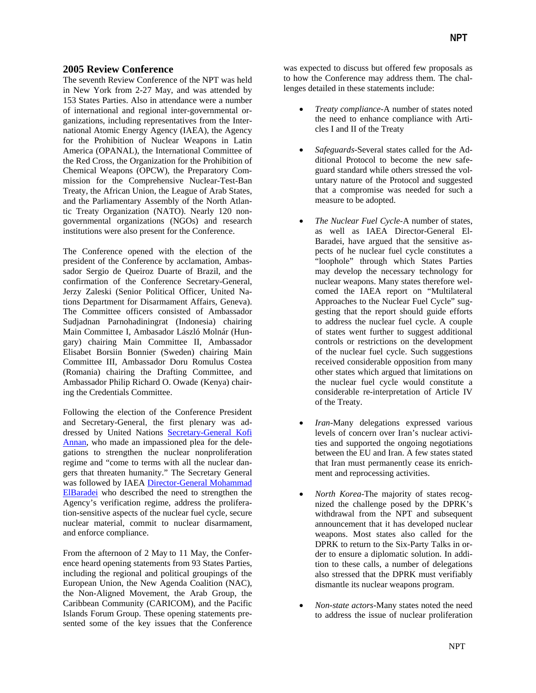## **2005 Review Conference**

The seventh Review Conference of the NPT was held in New York from 2-27 May, and was attended by 153 States Parties. Also in attendance were a number of international and regional inter-governmental organizations, including representatives from the International Atomic Energy Agency (IAEA), the Agency for the Prohibition of Nuclear Weapons in Latin America (OPANAL), the International Committee of the Red Cross, the Organization for the Prohibition of Chemical Weapons (OPCW), the Preparatory Commission for the Comprehensive Nuclear-Test-Ban Treaty, the African Union, the League of Arab States, and the Parliamentary Assembly of the North Atlantic Treaty Organization (NATO). Nearly 120 nongovernmental organizations (NGOs) and research institutions were also present for the Conference.

The Conference opened with the election of the president of the Conference by acclamation, Ambassador Sergio de Queiroz Duarte of Brazil, and the confirmation of the Conference Secretary-General, Jerzy Zaleski (Senior Political Officer, United Nations Department for Disarmament Affairs, Geneva). The Committee officers consisted of Ambassador Sudjadnan Parnohadiningrat (Indonesia) chairing Main Committee I, Ambasador László Molnár (Hungary) chairing Main Committee II, Ambassador Elisabet Borsiin Bonnier (Sweden) chairing Main Committee III, Ambassador Doru Romulus Costea (Romania) chairing the Drafting Committee, and Ambassador Philip Richard O. Owade (Kenya) chairing the Credentials Committee.

Following the election of the Conference President and Secretary-General, the first plenary was addressed by United Nations [Secretary-General Kofi](http://www.un.org/events/npt2005/statements/npt02sg.pdf)  [Annan,](http://www.un.org/events/npt2005/statements/npt02sg.pdf) who made an impassioned plea for the delegations to strengthen the nuclear nonproliferation regime and "come to terms with all the nuclear dangers that threaten humanity." The Secretary General was followed by IAEA [Director-General Mohammad](http://www.un.org/events/npt2005/statements/npt02iaea.pdf)  [ElBaradei](http://www.un.org/events/npt2005/statements/npt02iaea.pdf) who described the need to strengthen the Agency's verification regime, address the proliferation-sensitive aspects of the nuclear fuel cycle, secure nuclear material, commit to nuclear disarmament, and enforce compliance.

From the afternoon of 2 May to 11 May, the Conference heard opening statements from 93 States Parties, including the regional and political groupings of the European Union, the New Agenda Coalition (NAC), the Non-Aligned Movement, the Arab Group, the Caribbean Community (CARICOM), and the Pacific Islands Forum Group. These opening statements presented some of the key issues that the Conference was expected to discuss but offered few proposals as to how the Conference may address them. The challenges detailed in these statements include:

- *Treaty compliance*-A number of states noted the need to enhance compliance with Articles I and II of the Treaty
- *Safeguards*-Several states called for the Additional Protocol to become the new safeguard standard while others stressed the voluntary nature of the Protocol and suggested that a compromise was needed for such a measure to be adopted.
- *The Nuclear Fuel Cycle*-A number of states, as well as IAEA Director-General El-Baradei, have argued that the sensitive aspects of he nuclear fuel cycle constitutes a "loophole" through which States Parties may develop the necessary technology for nuclear weapons. Many states therefore welcomed the IAEA report on "Multilateral Approaches to the Nuclear Fuel Cycle" suggesting that the report should guide efforts to address the nuclear fuel cycle. A couple of states went further to suggest additional controls or restrictions on the development of the nuclear fuel cycle. Such suggestions received considerable opposition from many other states which argued that limitations on the nuclear fuel cycle would constitute a considerable re-interpretation of Article IV of the Treaty.
- *Iran*-Many delegations expressed various levels of concern over Iran's nuclear activities and supported the ongoing negotiations between the EU and Iran. A few states stated that Iran must permanently cease its enrichment and reprocessing activities.
- *North Korea*-The majority of states recognized the challenge posed by the DPRK's withdrawal from the NPT and subsequent announcement that it has developed nuclear weapons. Most states also called for the DPRK to return to the Six-Party Talks in order to ensure a diplomatic solution. In addition to these calls, a number of delegations also stressed that the DPRK must verifiably dismantle its nuclear weapons program.
- *Non-state actors*-Many states noted the need to address the issue of nuclear proliferation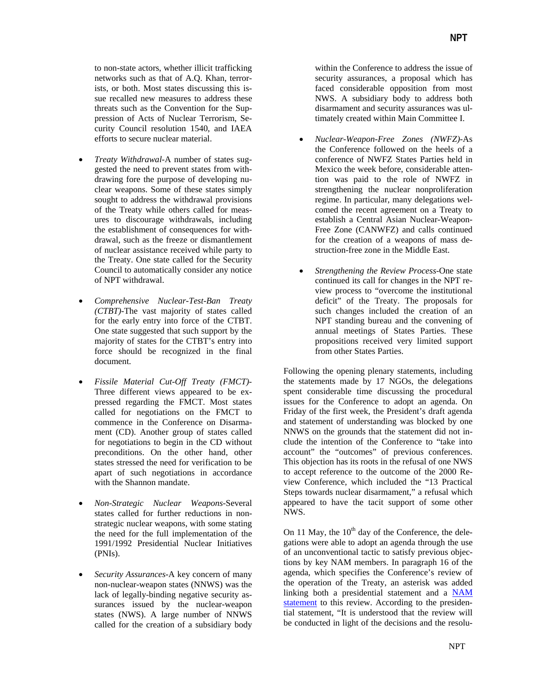to non-state actors, whether illicit trafficking networks such as that of A.Q. Khan, terrorists, or both. Most states discussing this issue recalled new measures to address these threats such as the Convention for the Suppression of Acts of Nuclear Terrorism, Security Council resolution 1540, and IAEA efforts to secure nuclear material.

- *Treaty Withdrawal*-A number of states suggested the need to prevent states from withdrawing fore the purpose of developing nuclear weapons. Some of these states simply sought to address the withdrawal provisions of the Treaty while others called for measures to discourage withdrawals, including the establishment of consequences for withdrawal, such as the freeze or dismantlement of nuclear assistance received while party to the Treaty. One state called for the Security Council to automatically consider any notice of NPT withdrawal.
- *Comprehensive Nuclear-Test-Ban Treaty (CTBT)*-The vast majority of states called for the early entry into force of the CTBT. One state suggested that such support by the majority of states for the CTBT's entry into force should be recognized in the final document.
- *Fissile Material Cut*-*Off Treaty (FMCT)* Three different views appeared to be expressed regarding the FMCT. Most states called for negotiations on the FMCT to commence in the Conference on Disarmament (CD). Another group of states called for negotiations to begin in the CD without preconditions. On the other hand, other states stressed the need for verification to be apart of such negotiations in accordance with the Shannon mandate.
- *Non*-*Strategic Nuclear Weapons-*Several states called for further reductions in nonstrategic nuclear weapons, with some stating the need for the full implementation of the 1991/1992 Presidential Nuclear Initiatives (PNIs).
- *Security Assurances*-A key concern of many non-nuclear-weapon states (NNWS) was the lack of legally-binding negative security assurances issued by the nuclear-weapon states (NWS). A large number of NNWS called for the creation of a subsidiary body

within the Conference to address the issue of security assurances, a proposal which has faced considerable opposition from most NWS. A subsidiary body to address both disarmament and security assurances was ultimately created within Main Committee I.

- *Nuclear*-*Weapon-Free Zones (NWFZ)*-As the Conference followed on the heels of a conference of NWFZ States Parties held in Mexico the week before, considerable attention was paid to the role of NWFZ in strengthening the nuclear nonproliferation regime. In particular, many delegations welcomed the recent agreement on a Treaty to establish a Central Asian Nuclear-Weapon-Free Zone (CANWFZ) and calls continued for the creation of a weapons of mass destruction-free zone in the Middle East.
- *Strengthening the Review Process-*One state continued its call for changes in the NPT review process to "overcome the institutional deficit" of the Treaty. The proposals for such changes included the creation of an NPT standing bureau and the convening of annual meetings of States Parties. These propositions received very limited support from other States Parties.

Following the opening plenary statements, including the statements made by 17 NGOs, the delegations spent considerable time discussing the procedural issues for the Conference to adopt an agenda. On Friday of the first week, the President's draft agenda and statement of understanding was blocked by one NNWS on the grounds that the statement did not include the intention of the Conference to "take into account" the "outcomes" of previous conferences. This objection has its roots in the refusal of one NWS to accept reference to the outcome of the 2000 Review Conference, which included the "13 Practical Steps towards nuclear disarmament," a refusal which appeared to have the tacit support of some other NWS.

On 11 May, the  $10<sup>th</sup>$  day of the Conference, the delegations were able to adopt an agenda through the use of an unconventional tactic to satisfy previous objections by key NAM members. In paragraph 16 of the agenda, which specifies the Conference's review of the operation of the Treaty, an asterisk was added linking both a presidential statement and a [NAM](http://www.reachingcriticalwill.org/legal/npt/RevCon05/NAMagenda.pdf)  [statement](http://www.reachingcriticalwill.org/legal/npt/RevCon05/NAMagenda.pdf) to this review. According to the presidential statement, "It is understood that the review will be conducted in light of the decisions and the resolu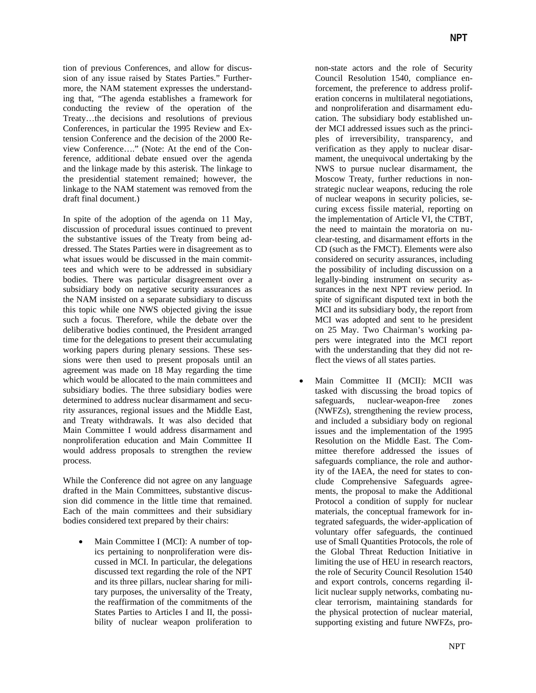tion of previous Conferences, and allow for discussion of any issue raised by States Parties." Furthermore, the NAM statement expresses the understanding that, "The agenda establishes a framework for conducting the review of the operation of the Treaty…the decisions and resolutions of previous Conferences, in particular the 1995 Review and Extension Conference and the decision of the 2000 Review Conference…." (Note: At the end of the Conference, additional debate ensued over the agenda and the linkage made by this asterisk. The linkage to the presidential statement remained; however, the linkage to the NAM statement was removed from the draft final document.)

In spite of the adoption of the agenda on 11 May, discussion of procedural issues continued to prevent the substantive issues of the Treaty from being addressed. The States Parties were in disagreement as to what issues would be discussed in the main committees and which were to be addressed in subsidiary bodies. There was particular disagreement over a subsidiary body on negative security assurances as the NAM insisted on a separate subsidiary to discuss this topic while one NWS objected giving the issue such a focus. Therefore, while the debate over the deliberative bodies continued, the President arranged time for the delegations to present their accumulating working papers during plenary sessions. These sessions were then used to present proposals until an agreement was made on 18 May regarding the time which would be allocated to the main committees and subsidiary bodies. The three subsidiary bodies were determined to address nuclear disarmament and security assurances, regional issues and the Middle East, and Treaty withdrawals. It was also decided that Main Committee I would address disarmament and nonproliferation education and Main Committee II would address proposals to strengthen the review process.

While the Conference did not agree on any language drafted in the Main Committees, substantive discussion did commence in the little time that remained. Each of the main committees and their subsidiary bodies considered text prepared by their chairs:

Main Committee I (MCI): A number of topics pertaining to nonproliferation were discussed in MCI. In particular, the delegations discussed text regarding the role of the NPT and its three pillars, nuclear sharing for military purposes, the universality of the Treaty, the reaffirmation of the commitments of the States Parties to Articles I and II, the possibility of nuclear weapon proliferation to non-state actors and the role of Security Council Resolution 1540, compliance enforcement, the preference to address proliferation concerns in multilateral negotiations, and nonproliferation and disarmament education. The subsidiary body established under MCI addressed issues such as the principles of irreversibility, transparency, and verification as they apply to nuclear disarmament, the unequivocal undertaking by the NWS to pursue nuclear disarmament, the Moscow Treaty, further reductions in nonstrategic nuclear weapons, reducing the role of nuclear weapons in security policies, securing excess fissile material, reporting on the implementation of Article VI, the CTBT, the need to maintain the moratoria on nuclear-testing, and disarmament efforts in the CD (such as the FMCT). Elements were also considered on security assurances, including the possibility of including discussion on a legally-binding instrument on security assurances in the next NPT review period. In spite of significant disputed text in both the MCI and its subsidiary body, the report from MCI was adopted and sent to he president on 25 May. Two Chairman's working papers were integrated into the MCI report with the understanding that they did not reflect the views of all states parties.

Main Committee II (MCII): MCII was tasked with discussing the broad topics of safeguards, nuclear-weapon-free zones (NWFZs), strengthening the review process, and included a subsidiary body on regional issues and the implementation of the 1995 Resolution on the Middle East. The Committee therefore addressed the issues of safeguards compliance, the role and authority of the IAEA, the need for states to conclude Comprehensive Safeguards agreements, the proposal to make the Additional Protocol a condition of supply for nuclear materials, the conceptual framework for integrated safeguards, the wider-application of voluntary offer safeguards, the continued use of Small Quantities Protocols, the role of the Global Threat Reduction Initiative in limiting the use of HEU in research reactors, the role of Security Council Resolution 1540 and export controls, concerns regarding illicit nuclear supply networks, combating nuclear terrorism, maintaining standards for the physical protection of nuclear material, supporting existing and future NWFZs, pro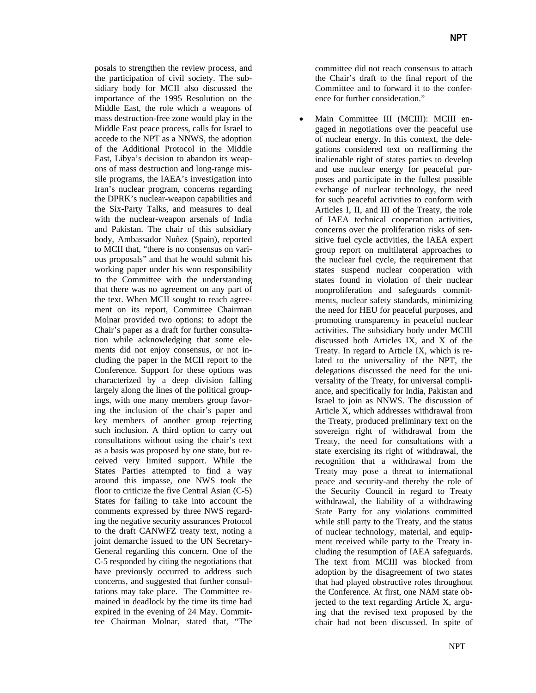posals to strengthen the review process, and the participation of civil society. The subsidiary body for MCII also discussed the importance of the 1995 Resolution on the Middle East, the role which a weapons of mass destruction-free zone would play in the Middle East peace process, calls for Israel to accede to the NPT as a NNWS, the adoption of the Additional Protocol in the Middle East, Libya's decision to abandon its weapons of mass destruction and long-range missile programs, the IAEA's investigation into Iran's nuclear program, concerns regarding the DPRK's nuclear-weapon capabilities and the Six-Party Talks, and measures to deal with the nuclear-weapon arsenals of India and Pakistan. The chair of this subsidiary body, Ambassador Nuñez (Spain), reported to MCII that, "there is no consensus on various proposals" and that he would submit his working paper under his won responsibility to the Committee with the understanding that there was no agreement on any part of the text. When MCII sought to reach agreement on its report, Committee Chairman Molnar provided two options: to adopt the Chair's paper as a draft for further consultation while acknowledging that some elements did not enjoy consensus, or not including the paper in the MCII report to the Conference. Support for these options was characterized by a deep division falling largely along the lines of the political groupings, with one many members group favoring the inclusion of the chair's paper and key members of another group rejecting such inclusion. A third option to carry out consultations without using the chair's text as a basis was proposed by one state, but received very limited support. While the States Parties attempted to find a way around this impasse, one NWS took the floor to criticize the five Central Asian (C-5) States for failing to take into account the comments expressed by three NWS regarding the negative security assurances Protocol to the draft CANWFZ treaty text, noting a joint demarche issued to the UN Secretary-General regarding this concern. One of the C-5 responded by citing the negotiations that have previously occurred to address such concerns, and suggested that further consultations may take place. The Committee remained in deadlock by the time its time had expired in the evening of 24 May. Committee Chairman Molnar, stated that, "The

committee did not reach consensus to attach the Chair's draft to the final report of the Committee and to forward it to the conference for further consideration."

• Main Committee III (MCIII): MCIII engaged in negotiations over the peaceful use of nuclear energy. In this context, the delegations considered text on reaffirming the inalienable right of states parties to develop and use nuclear energy for peaceful purposes and participate in the fullest possible exchange of nuclear technology, the need for such peaceful activities to conform with Articles I, II, and III of the Treaty, the role of IAEA technical cooperation activities, concerns over the proliferation risks of sensitive fuel cycle activities, the IAEA expert group report on multilateral approaches to the nuclear fuel cycle, the requirement that states suspend nuclear cooperation with states found in violation of their nuclear nonproliferation and safeguards commitments, nuclear safety standards, minimizing the need for HEU for peaceful purposes, and promoting transparency in peaceful nuclear activities. The subsidiary body under MCIII discussed both Articles IX, and X of the Treaty. In regard to Article IX, which is related to the universality of the NPT, the delegations discussed the need for the universality of the Treaty, for universal compliance, and specifically for India, Pakistan and Israel to join as NNWS. The discussion of Article X, which addresses withdrawal from the Treaty, produced preliminary text on the sovereign right of withdrawal from the Treaty, the need for consultations with a state exercising its right of withdrawal, the recognition that a withdrawal from the Treaty may pose a threat to international peace and security-and thereby the role of the Security Council in regard to Treaty withdrawal, the liability of a withdrawing State Party for any violations committed while still party to the Treaty, and the status of nuclear technology, material, and equipment received while party to the Treaty including the resumption of IAEA safeguards. The text from MCIII was blocked from adoption by the disagreement of two states that had played obstructive roles throughout the Conference. At first, one NAM state objected to the text regarding Article X, arguing that the revised text proposed by the chair had not been discussed. In spite of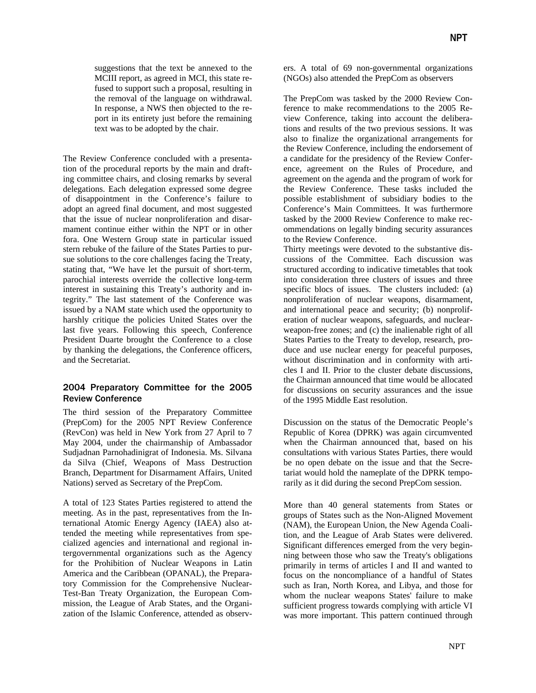suggestions that the text be annexed to the MCIII report, as agreed in MCI, this state refused to support such a proposal, resulting in the removal of the language on withdrawal. In response, a NWS then objected to the report in its entirety just before the remaining text was to be adopted by the chair.

The Review Conference concluded with a presentation of the procedural reports by the main and drafting committee chairs, and closing remarks by several delegations. Each delegation expressed some degree of disappointment in the Conference's failure to adopt an agreed final document, and most suggested that the issue of nuclear nonproliferation and disarmament continue either within the NPT or in other fora. One Western Group state in particular issued stern rebuke of the failure of the States Parties to pursue solutions to the core challenges facing the Treaty, stating that, "We have let the pursuit of short-term, parochial interests override the collective long-term interest in sustaining this Treaty's authority and integrity." The last statement of the Conference was issued by a NAM state which used the opportunity to harshly critique the policies United States over the last five years. Following this speech, Conference President Duarte brought the Conference to a close by thanking the delegations, the Conference officers, and the Secretariat.

## 2004 Preparatory Committee for the 2005 Review Conference

The third session of the Preparatory Committee (PrepCom) for the 2005 NPT Review Conference (RevCon) was held in New York from 27 April to 7 May 2004, under the chairmanship of Ambassador Sudjadnan Parnohadinigrat of Indonesia. Ms. Silvana da Silva (Chief, Weapons of Mass Destruction Branch, Department for Disarmament Affairs, United Nations) served as Secretary of the PrepCom.

A total of 123 States Parties registered to attend the meeting. As in the past, representatives from the International Atomic Energy Agency (IAEA) also attended the meeting while representatives from specialized agencies and international and regional intergovernmental organizations such as the Agency for the Prohibition of Nuclear Weapons in Latin America and the Caribbean (OPANAL), the Preparatory Commission for the Comprehensive Nuclear-Test-Ban Treaty Organization, the European Commission, the League of Arab States, and the Organization of the Islamic Conference, attended as observers. A total of 69 non-governmental organizations (NGOs) also attended the PrepCom as observers

The PrepCom was tasked by the 2000 Review Conference to make recommendations to the 2005 Review Conference, taking into account the deliberations and results of the two previous sessions. It was also to finalize the organizational arrangements for the Review Conference, including the endorsement of a candidate for the presidency of the Review Conference, agreement on the Rules of Procedure, and agreement on the agenda and the program of work for the Review Conference. These tasks included the possible establishment of subsidiary bodies to the Conference's Main Committees. It was furthermore tasked by the 2000 Review Conference to make recommendations on legally binding security assurances to the Review Conference.

Thirty meetings were devoted to the substantive discussions of the Committee. Each discussion was structured according to indicative timetables that took into consideration three clusters of issues and three specific blocs of issues. The clusters included: (a) nonproliferation of nuclear weapons, disarmament, and international peace and security; (b) nonproliferation of nuclear weapons, safeguards, and nuclearweapon-free zones; and (c) the inalienable right of all States Parties to the Treaty to develop, research, produce and use nuclear energy for peaceful purposes, without discrimination and in conformity with articles I and II. Prior to the cluster debate discussions, the Chairman announced that time would be allocated for discussions on security assurances and the issue of the 1995 Middle East resolution.

Discussion on the status of the Democratic People's Republic of Korea (DPRK) was again circumvented when the Chairman announced that, based on his consultations with various States Parties, there would be no open debate on the issue and that the Secretariat would hold the nameplate of the DPRK temporarily as it did during the second PrepCom session.

More than 40 general statements from States or groups of States such as the Non-Aligned Movement (NAM), the European Union, the New Agenda Coalition, and the League of Arab States were delivered. Significant differences emerged from the very beginning between those who saw the Treaty's obligations primarily in terms of articles I and II and wanted to focus on the noncompliance of a handful of States such as Iran, North Korea, and Libya, and those for whom the nuclear weapons States' failure to make sufficient progress towards complying with article VI was more important. This pattern continued through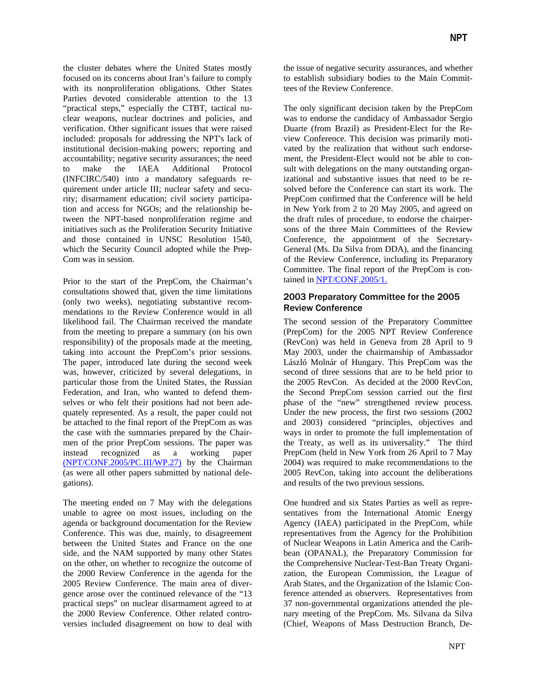the cluster debates where the United States mostly focused on its concerns about Iran's failure to comply with its nonproliferation obligations. Other States Parties devoted considerable attention to the 13 "practical steps," especially the CTBT, tactical nuclear weapons, nuclear doctrines and policies, and verification. Other significant issues that were raised included: proposals for addressing the NPT's lack of institutional decision-making powers; reporting and accountability; negative security assurances; the need to make the IAEA Additional Protocol (INFCIRC/540) into a mandatory safeguards requirement under article III; nuclear safety and security; disarmament education; civil society participation and access for NGOs; and the relationship between the NPT-based nonproliferation regime and initiatives such as the Proliferation Security Initiative and those contained in UNSC Resolution 1540, which the Security Council adopted while the Prep-Com was in session.

Prior to the start of the PrepCom, the Chairman's consultations showed that, given the time limitations (only two weeks), negotiating substantive recommendations to the Review Conference would in all likelihood fail. The Chairman received the mandate from the meeting to prepare a summary (on his own responsibility) of the proposals made at the meeting, taking into account the PrepCom's prior sessions. The paper, introduced late during the second week was, however, criticized by several delegations, in particular those from the United States, the Russian Federation, and Iran, who wanted to defend themselves or who felt their positions had not been adequately represented. As a result, the paper could not be attached to the final report of the PrepCom as was the case with the summaries prepared by the Chairmen of the prior PrepCom sessions. The paper was instead recognized as a working paper [\(NPT/CONF.2005/PC.III/WP.27\)](http://disarmament.un.org:8080/wmd/npt/2005/PC3-listofdocs.html) by the Chairman (as were all other papers submitted by national delegations).

The meeting ended on 7 May with the delegations unable to agree on most issues, including on the agenda or background documentation for the Review Conference. This was due, mainly, to disagreement between the United States and France on the one side, and the NAM supported by many other States on the other, on whether to recognize the outcome of the 2000 Review Conference in the agenda for the 2005 Review Conference. The main area of divergence arose over the continued relevance of the "13 practical steps" on nuclear disarmament agreed to at the 2000 Review Conference. Other related controversies included disagreement on how to deal with

the issue of negative security assurances, and whether to establish subsidiary bodies to the Main Committees of the Review Conference.

The only significant decision taken by the PrepCom was to endorse the candidacy of Ambassador Sergio Duarte (from Brazil) as President-Elect for the Review Conference. This decision was primarily motivated by the realization that without such endorsement, the President-Elect would not be able to consult with delegations on the many outstanding organizational and substantive issues that need to be resolved before the Conference can start its work. The PrepCom confirmed that the Conference will be held in New York from 2 to 20 May 2005, and agreed on the draft rules of procedure, to endorse the chairpersons of the three Main Committees of the Review Conference, the appointment of the Secretary-General (Ms. Da Silva from DDA), and the financing of the Review Conference, including its Preparatory Committee. The final report of the PrepCom is contained in [NPT/CONF.2005/1.](http://disarmament2.un.org/wmd/npt/2005/PC3-listofdocs.html)

## 2003 Preparatory Committee for the 2005 Review Conference

The second session of the Preparatory Committee (PrepCom) for the 2005 NPT Review Conference (RevCon) was held in Geneva from 28 April to 9 May 2003, under the chairmanship of Ambassador László Molnár of Hungary. This PrepCom was the second of three sessions that are to be held prior to the 2005 RevCon. As decided at the 2000 RevCon, the Second PrepCom session carried out the first phase of the "new" strengthened review process. Under the new process, the first two sessions (2002 and 2003) considered "principles, objectives and ways in order to promote the full implementation of the Treaty, as well as its universality." The third PrepCom (held in New York from 26 April to 7 May 2004) was required to make recommendations to the 2005 RevCon, taking into account the deliberations and results of the two previous sessions.

One hundred and six States Parties as well as representatives from the International Atomic Energy Agency (IAEA) participated in the PrepCom, while representatives from the Agency for the Prohibition of Nuclear Weapons in Latin America and the Caribbean (OPANAL), the Preparatory Commission for the Comprehensive Nuclear-Test-Ban Treaty Organization, the European Commission, the League of Arab States, and the Organization of the Islamic Conference attended as observers. Representatives from 37 non-governmental organizations attended the plenary meeting of the PrepCom. Ms. Silvana da Silva (Chief, Weapons of Mass Destruction Branch, De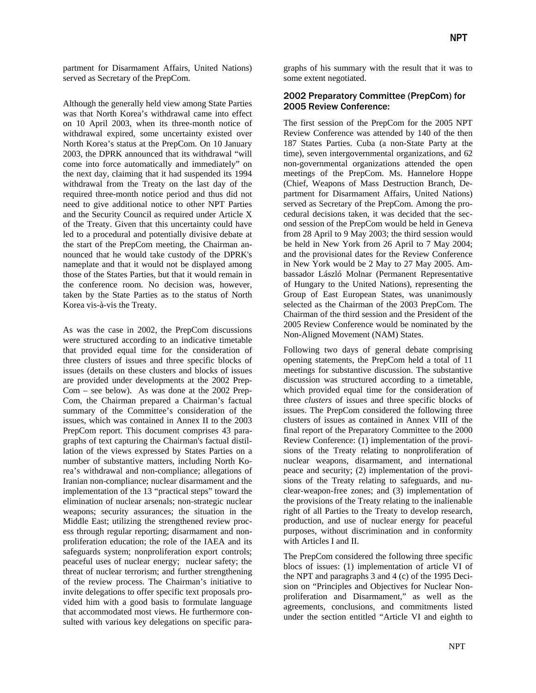partment for Disarmament Affairs, United Nations) served as Secretary of the PrepCom.

Although the generally held view among State Parties was that North Korea's withdrawal came into effect on 10 April 2003, when its three-month notice of withdrawal expired, some uncertainty existed over North Korea's status at the PrepCom. On 10 January 2003, the DPRK announced that its withdrawal "will come into force automatically and immediately" on the next day, claiming that it had suspended its 1994 withdrawal from the Treaty on the last day of the required three-month notice period and thus did not need to give additional notice to other NPT Parties and the Security Council as required under Article X of the Treaty. Given that this uncertainty could have led to a procedural and potentially divisive debate at the start of the PrepCom meeting, the Chairman announced that he would take custody of the DPRK's nameplate and that it would not be displayed among those of the States Parties, but that it would remain in the conference room. No decision was, however, taken by the State Parties as to the status of North Korea vis-à-vis the Treaty.

As was the case in 2002, the PrepCom discussions were structured according to an indicative timetable that provided equal time for the consideration of three clusters of issues and three specific blocks of issues (details on these clusters and blocks of issues are provided under developments at the 2002 Prep-Com – see below). As was done at the 2002 Prep-Com, the Chairman prepared a Chairman's factual summary of the Committee's consideration of the issues, which was contained in Annex II to the 2003 PrepCom report. This document comprises 43 paragraphs of text capturing the Chairman's factual distillation of the views expressed by States Parties on a number of substantive matters, including North Korea's withdrawal and non-compliance; allegations of Iranian non-compliance; nuclear disarmament and the implementation of the 13 "practical steps" toward the elimination of nuclear arsenals; non-strategic nuclear weapons; security assurances; the situation in the Middle East; utilizing the strengthened review process through regular reporting; disarmament and nonproliferation education; the role of the IAEA and its safeguards system; nonproliferation export controls; peaceful uses of nuclear energy; nuclear safety; the threat of nuclear terrorism; and further strengthening of the review process. The Chairman's initiative to invite delegations to offer specific text proposals provided him with a good basis to formulate language that accommodated most views. He furthermore consulted with various key delegations on specific paragraphs of his summary with the result that it was to some extent negotiated.

### 2002 Preparatory Committee (PrepCom) for 2005 Review Conference:

The first session of the PrepCom for the 2005 NPT Review Conference was attended by 140 of the then 187 States Parties. Cuba (a non-State Party at the time), seven intergovernmental organizations, and 62 non-governmental organizations attended the open meetings of the PrepCom. Ms. Hannelore Hoppe (Chief, Weapons of Mass Destruction Branch, Department for Disarmament Affairs, United Nations) served as Secretary of the PrepCom. Among the procedural decisions taken, it was decided that the second session of the PrepCom would be held in Geneva from 28 April to 9 May 2003; the third session would be held in New York from 26 April to 7 May 2004; and the provisional dates for the Review Conference in New York would be 2 May to 27 May 2005. Ambassador László Molnar (Permanent Representative of Hungary to the United Nations), representing the Group of East European States, was unanimously selected as the Chairman of the 2003 PrepCom. The Chairman of the third session and the President of the 2005 Review Conference would be nominated by the Non-Aligned Movement (NAM) States.

Following two days of general debate comprising opening statements, the PrepCom held a total of 11 meetings for substantive discussion. The substantive discussion was structured according to a timetable, which provided equal time for the consideration of three *clusters* of issues and three specific blocks of issues. The PrepCom considered the following three clusters of issues as contained in Annex VIII of the final report of the Preparatory Committee to the 2000 Review Conference: (1) implementation of the provisions of the Treaty relating to nonproliferation of nuclear weapons, disarmament, and international peace and security; (2) implementation of the provisions of the Treaty relating to safeguards, and nuclear-weapon-free zones; and (3) implementation of the provisions of the Treaty relating to the inalienable right of all Parties to the Treaty to develop research, production, and use of nuclear energy for peaceful purposes, without discrimination and in conformity with Articles I and II.

The PrepCom considered the following three specific blocs of issues: (1) implementation of article VI of the NPT and paragraphs 3 and 4 (c) of the 1995 Decision on "Principles and Objectives for Nuclear Nonproliferation and Disarmament," as well as the agreements, conclusions, and commitments listed under the section entitled "Article VI and eighth to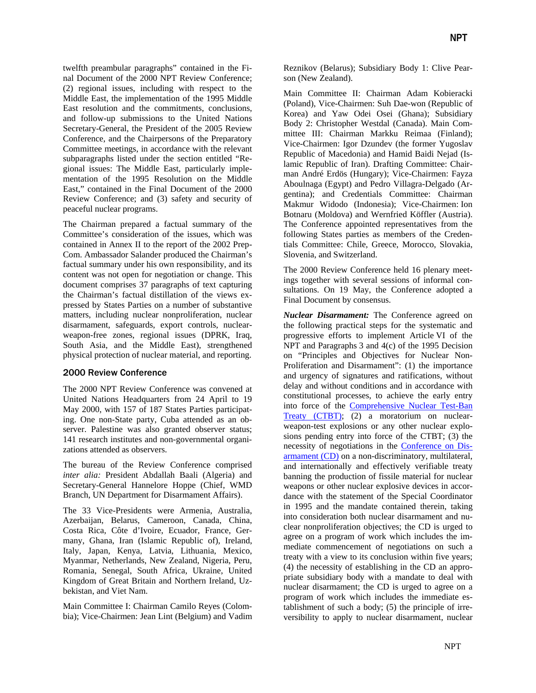twelfth preambular paragraphs" contained in the Final Document of the 2000 NPT Review Conference; (2) regional issues, including with respect to the Middle East, the implementation of the 1995 Middle East resolution and the commitments, conclusions, and follow-up submissions to the United Nations Secretary-General, the President of the 2005 Review Conference, and the Chairpersons of the Preparatory Committee meetings, in accordance with the relevant subparagraphs listed under the section entitled "Regional issues: The Middle East, particularly implementation of the 1995 Resolution on the Middle East," contained in the Final Document of the 2000 Review Conference; and (3) safety and security of peaceful nuclear programs.

The Chairman prepared a factual summary of the Committee's consideration of the issues, which was contained in Annex II to the report of the 2002 Prep-Com. Ambassador Salander produced the Chairman's factual summary under his own responsibility, and its content was not open for negotiation or change. This document comprises 37 paragraphs of text capturing the Chairman's factual distillation of the views expressed by States Parties on a number of substantive matters, including nuclear nonproliferation, nuclear disarmament, safeguards, export controls, nuclearweapon-free zones, regional issues (DPRK, Iraq, South Asia, and the Middle East), strengthened physical protection of nuclear material, and reporting.

#### 2000 Review Conference

The 2000 NPT Review Conference was convened at United Nations Headquarters from 24 April to 19 May 2000, with 157 of 187 States Parties participating. One non-State party, Cuba attended as an observer. Palestine was also granted observer status; 141 research institutes and non-governmental organizations attended as observers.

The bureau of the Review Conference comprised *inter alia:* President Abdallah Baali (Algeria) and Secretary-General Hannelore Hoppe (Chief, WMD Branch, UN Department for Disarmament Affairs).

The 33 Vice-Presidents were Armenia, Australia, Azerbaijan, Belarus, Cameroon, Canada, China, Costa Rica, Côte d'Ivoire, Ecuador, France, Germany, Ghana, Iran (Islamic Republic of), Ireland, Italy, Japan, Kenya, Latvia, Lithuania, Mexico, Myanmar, Netherlands, New Zealand, Nigeria, Peru, Romania, Senegal, South Africa, Ukraine, United Kingdom of Great Britain and Northern Ireland, Uzbekistan, and Viet Nam.

Main Committee I: Chairman Camilo Reyes (Colombia); Vice-Chairmen: Jean Lint (Belgium) and Vadim Reznikov (Belarus); Subsidiary Body 1: Clive Pearson (New Zealand).

Main Committee II: Chairman Adam Kobieracki (Poland), Vice-Chairmen: Suh Dae-won (Republic of Korea) and Yaw Odei Osei (Ghana); Subsidiary Body 2: Christopher Westdal (Canada). Main Committee III: Chairman Markku Reimaa (Finland); Vice-Chairmen: Igor Dzundev (the former Yugoslav Republic of Macedonia) and Hamid Baidi Nejad (Islamic Republic of Iran). Drafting Committee: Chairman André Erdös (Hungary); Vice-Chairmen: Fayza Aboulnaga (Egypt) and Pedro Villagra-Delgado (Argentina); and Credentials Committee: Chairman Makmur Widodo (Indonesia); Vice-Chairmen: Ion Botnaru (Moldova) and Wernfried Köffler (Austria). The Conference appointed representatives from the following States parties as members of the Credentials Committee: Chile, Greece, Morocco, Slovakia, Slovenia, and Switzerland.

The 2000 Review Conference held 16 plenary meetings together with several sessions of informal consultations. On 19 May, the Conference adopted a Final Document by consensus.

*Nuclear Disarmament:* The Conference agreed on the following practical steps for the systematic and progressive efforts to implement Article VI of the NPT and Paragraphs 3 and 4(c) of the 1995 Decision on "Principles and Objectives for Nuclear Non-Proliferation and Disarmament": (1) the importance and urgency of signatures and ratifications, without delay and without conditions and in accordance with constitutional processes, to achieve the early entry into force of the Comprehensive Nuclear Test-Ban Treaty (CTBT); (2) a moratorium on nuclearweapon-test explosions or any other nuclear explosions pending entry into force of the CTBT; (3) the necessity of negotiations in the Conference on Disarmament (CD) on a non-discriminatory, multilateral, and internationally and effectively verifiable treaty banning the production of fissile material for nuclear weapons or other nuclear explosive devices in accordance with the statement of the Special Coordinator in 1995 and the mandate contained therein, taking into consideration both nuclear disarmament and nuclear nonproliferation objectives; the CD is urged to agree on a program of work which includes the immediate commencement of negotiations on such a treaty with a view to its conclusion within five years; (4) the necessity of establishing in the CD an appropriate subsidiary body with a mandate to deal with nuclear disarmament; the CD is urged to agree on a program of work which includes the immediate establishment of such a body; (5) the principle of irreversibility to apply to nuclear disarmament, nuclear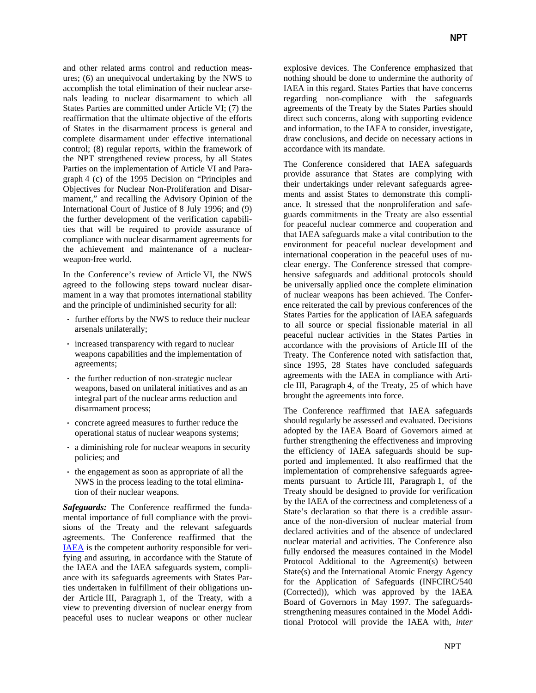and other related arms control and reduction measures; (6) an unequivocal undertaking by the NWS to accomplish the total elimination of their nuclear arsenals leading to nuclear disarmament to which all States Parties are committed under Article VI; (7) the reaffirmation that the ultimate objective of the efforts of States in the disarmament process is general and complete disarmament under effective international control; (8) regular reports, within the framework of the NPT strengthened review process, by all States Parties on the implementation of Article VI and Paragraph 4 (c) of the 1995 Decision on "Principles and Objectives for Nuclear Non-Proliferation and Disarmament," and recalling the Advisory Opinion of the International Court of Justice of 8 July 1996; and (9) the further development of the verification capabilities that will be required to provide assurance of compliance with nuclear disarmament agreements for the achievement and maintenance of a nuclearweapon-free world.

In the Conference's review of Article VI, the NWS agreed to the following steps toward nuclear disarmament in a way that promotes international stability and the principle of undiminished security for all:

- ⋅ further efforts by the NWS to reduce their nuclear arsenals unilaterally;
- ⋅ increased transparency with regard to nuclear weapons capabilities and the implementation of agreements;
- the further reduction of non-strategic nuclear weapons, based on unilateral initiatives and as an integral part of the nuclear arms reduction and disarmament process;
- concrete agreed measures to further reduce the operational status of nuclear weapons systems;
- ⋅ a diminishing role for nuclear weapons in security policies; and
- the engagement as soon as appropriate of all the NWS in the process leading to the total elimination of their nuclear weapons.

*Safeguards:* The Conference reaffirmed the fundamental importance of full compliance with the provisions of the Treaty and the relevant safeguards agreements. The Conference reaffirmed that the IAEA is the competent authority responsible for verifying and assuring, in accordance with the Statute of the IAEA and the IAEA safeguards system, compliance with its safeguards agreements with States Parties undertaken in fulfillment of their obligations under Article III, Paragraph 1, of the Treaty, with a view to preventing diversion of nuclear energy from peaceful uses to nuclear weapons or other nuclear explosive devices. The Conference emphasized that nothing should be done to undermine the authority of IAEA in this regard. States Parties that have concerns regarding non-compliance with the safeguards agreements of the Treaty by the States Parties should direct such concerns, along with supporting evidence and information, to the IAEA to consider, investigate, draw conclusions, and decide on necessary actions in accordance with its mandate.

The Conference considered that IAEA safeguards provide assurance that States are complying with their undertakings under relevant safeguards agreements and assist States to demonstrate this compliance. It stressed that the nonproliferation and safeguards commitments in the Treaty are also essential for peaceful nuclear commerce and cooperation and that IAEA safeguards make a vital contribution to the environment for peaceful nuclear development and international cooperation in the peaceful uses of nuclear energy. The Conference stressed that comprehensive safeguards and additional protocols should be universally applied once the complete elimination of nuclear weapons has been achieved. The Conference reiterated the call by previous conferences of the States Parties for the application of IAEA safeguards to all source or special fissionable material in all peaceful nuclear activities in the States Parties in accordance with the provisions of Article III of the Treaty. The Conference noted with satisfaction that, since 1995, 28 States have concluded safeguards agreements with the IAEA in compliance with Article III, Paragraph 4, of the Treaty, 25 of which have brought the agreements into force.

The Conference reaffirmed that IAEA safeguards should regularly be assessed and evaluated. Decisions adopted by the IAEA Board of Governors aimed at further strengthening the effectiveness and improving the efficiency of IAEA safeguards should be supported and implemented. It also reaffirmed that the implementation of comprehensive safeguards agreements pursuant to Article III, Paragraph 1, of the Treaty should be designed to provide for verification by the IAEA of the correctness and completeness of a State's declaration so that there is a credible assurance of the non-diversion of nuclear material from declared activities and of the absence of undeclared nuclear material and activities. The Conference also fully endorsed the measures contained in the Model Protocol Additional to the Agreement(s) between State(s) and the International Atomic Energy Agency for the Application of Safeguards (INFCIRC/540 (Corrected)), which was approved by the IAEA Board of Governors in May 1997. The safeguardsstrengthening measures contained in the Model Additional Protocol will provide the IAEA with*, inter*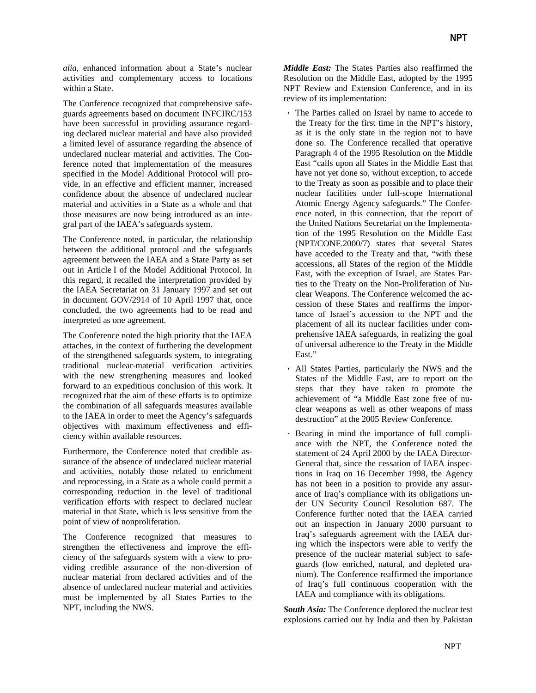*alia*, enhanced information about a State's nuclear activities and complementary access to locations within a State.

The Conference recognized that comprehensive safeguards agreements based on document INFCIRC/153 have been successful in providing assurance regarding declared nuclear material and have also provided a limited level of assurance regarding the absence of undeclared nuclear material and activities. The Conference noted that implementation of the measures specified in the Model Additional Protocol will provide, in an effective and efficient manner, increased confidence about the absence of undeclared nuclear material and activities in a State as a whole and that those measures are now being introduced as an integral part of the IAEA's safeguards system.

The Conference noted, in particular, the relationship between the additional protocol and the safeguards agreement between the IAEA and a State Party as set out in Article I of the Model Additional Protocol. In this regard, it recalled the interpretation provided by the IAEA Secretariat on 31 January 1997 and set out in document GOV/2914 of 10 April 1997 that, once concluded, the two agreements had to be read and interpreted as one agreement.

The Conference noted the high priority that the IAEA attaches, in the context of furthering the development of the strengthened safeguards system, to integrating traditional nuclear-material verification activities with the new strengthening measures and looked forward to an expeditious conclusion of this work. It recognized that the aim of these efforts is to optimize the combination of all safeguards measures available to the IAEA in order to meet the Agency's safeguards objectives with maximum effectiveness and efficiency within available resources.

Furthermore, the Conference noted that credible assurance of the absence of undeclared nuclear material and activities, notably those related to enrichment and reprocessing, in a State as a whole could permit a corresponding reduction in the level of traditional verification efforts with respect to declared nuclear material in that State, which is less sensitive from the point of view of nonproliferation.

The Conference recognized that measures to strengthen the effectiveness and improve the efficiency of the safeguards system with a view to providing credible assurance of the non-diversion of nuclear material from declared activities and of the absence of undeclared nuclear material and activities must be implemented by all States Parties to the NPT, including the NWS.

*Middle East:* The States Parties also reaffirmed the Resolution on the Middle East, adopted by the 1995 NPT Review and Extension Conference, and in its review of its implementation:

- ⋅ The Parties called on Israel by name to accede to the Treaty for the first time in the NPT's history, as it is the only state in the region not to have done so. The Conference recalled that operative Paragraph 4 of the 1995 Resolution on the Middle East "calls upon all States in the Middle East that have not yet done so, without exception, to accede to the Treaty as soon as possible and to place their nuclear facilities under full-scope International Atomic Energy Agency safeguards." The Conference noted, in this connection, that the report of the United Nations Secretariat on the Implementation of the 1995 Resolution on the Middle East (NPT/CONF.2000/7) states that several States have acceded to the Treaty and that, "with these accessions, all States of the region of the Middle East, with the exception of Israel, are States Parties to the Treaty on the Non-Proliferation of Nuclear Weapons. The Conference welcomed the accession of these States and reaffirms the importance of Israel's accession to the NPT and the placement of all its nuclear facilities under comprehensive IAEA safeguards, in realizing the goal of universal adherence to the Treaty in the Middle East."
- ⋅ All States Parties, particularly the NWS and the States of the Middle East, are to report on the steps that they have taken to promote the achievement of "a Middle East zone free of nuclear weapons as well as other weapons of mass destruction" at the 2005 Review Conference.
- ⋅ Bearing in mind the importance of full compliance with the NPT, the Conference noted the statement of 24 April 2000 by the IAEA Director-General that, since the cessation of IAEA inspections in Iraq on 16 December 1998, the Agency has not been in a position to provide any assurance of Iraq's compliance with its obligations under UN Security Council Resolution 687. The Conference further noted that the IAEA carried out an inspection in January 2000 pursuant to Iraq's safeguards agreement with the IAEA during which the inspectors were able to verify the presence of the nuclear material subject to safeguards (low enriched, natural, and depleted uranium). The Conference reaffirmed the importance of Iraq's full continuous cooperation with the IAEA and compliance with its obligations.

*South Asia:* The Conference deplored the nuclear test explosions carried out by India and then by Pakistan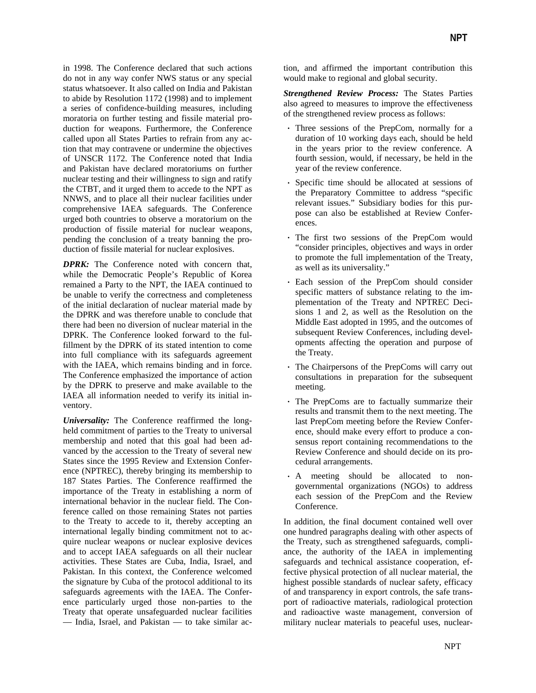in 1998. The Conference declared that such actions do not in any way confer NWS status or any special status whatsoever. It also called on India and Pakistan to abide by Resolution 1172 (1998) and to implement a series of confidence-building measures, including moratoria on further testing and fissile material production for weapons. Furthermore, the Conference called upon all States Parties to refrain from any action that may contravene or undermine the objectives of UNSCR 1172. The Conference noted that India and Pakistan have declared moratoriums on further nuclear testing and their willingness to sign and ratify the CTBT, and it urged them to accede to the NPT as NNWS, and to place all their nuclear facilities under comprehensive IAEA safeguards. The Conference urged both countries to observe a moratorium on the production of fissile material for nuclear weapons, pending the conclusion of a treaty banning the production of fissile material for nuclear explosives.

*DPRK:* The Conference noted with concern that, while the Democratic People's Republic of Korea remained a Party to the NPT, the IAEA continued to be unable to verify the correctness and completeness of the initial declaration of nuclear material made by the DPRK and was therefore unable to conclude that there had been no diversion of nuclear material in the DPRK. The Conference looked forward to the fulfillment by the DPRK of its stated intention to come into full compliance with its safeguards agreement with the IAEA, which remains binding and in force. The Conference emphasized the importance of action by the DPRK to preserve and make available to the IAEA all information needed to verify its initial inventory.

*Universality:* The Conference reaffirmed the longheld commitment of parties to the Treaty to universal membership and noted that this goal had been advanced by the accession to the Treaty of several new States since the 1995 Review and Extension Conference (NPTREC), thereby bringing its membership to 187 States Parties. The Conference reaffirmed the importance of the Treaty in establishing a norm of international behavior in the nuclear field. The Conference called on those remaining States not parties to the Treaty to accede to it, thereby accepting an international legally binding commitment not to acquire nuclear weapons or nuclear explosive devices and to accept IAEA safeguards on all their nuclear activities. These States are Cuba, India, Israel, and Pakistan. In this context, the Conference welcomed the signature by Cuba of the protocol additional to its safeguards agreements with the IAEA. The Conference particularly urged those non-parties to the Treaty that operate unsafeguarded nuclear facilities — India, Israel, and Pakistan — to take similar action, and affirmed the important contribution this would make to regional and global security.

*Strengthened Review Process:* The States Parties also agreed to measures to improve the effectiveness of the strengthened review process as follows:

- ⋅ Three sessions of the PrepCom, normally for a duration of 10 working days each, should be held in the years prior to the review conference. A fourth session, would, if necessary, be held in the year of the review conference.
- ⋅ Specific time should be allocated at sessions of the Preparatory Committee to address "specific relevant issues." Subsidiary bodies for this purpose can also be established at Review Conferences.
- ⋅ The first two sessions of the PrepCom would "consider principles, objectives and ways in order to promote the full implementation of the Treaty, as well as its universality."
- ⋅ Each session of the PrepCom should consider specific matters of substance relating to the implementation of the Treaty and NPTREC Decisions 1 and 2, as well as the Resolution on the Middle East adopted in 1995, and the outcomes of subsequent Review Conferences, including developments affecting the operation and purpose of the Treaty.
- ⋅ The Chairpersons of the PrepComs will carry out consultations in preparation for the subsequent meeting.
- ⋅ The PrepComs are to factually summarize their results and transmit them to the next meeting. The last PrepCom meeting before the Review Conference, should make every effort to produce a consensus report containing recommendations to the Review Conference and should decide on its procedural arrangements.
- ⋅ A meeting should be allocated to nongovernmental organizations (NGOs) to address each session of the PrepCom and the Review Conference.

In addition, the final document contained well over one hundred paragraphs dealing with other aspects of the Treaty, such as strengthened safeguards, compliance, the authority of the IAEA in implementing safeguards and technical assistance cooperation, effective physical protection of all nuclear material, the highest possible standards of nuclear safety, efficacy of and transparency in export controls, the safe transport of radioactive materials, radiological protection and radioactive waste management, conversion of military nuclear materials to peaceful uses, nuclear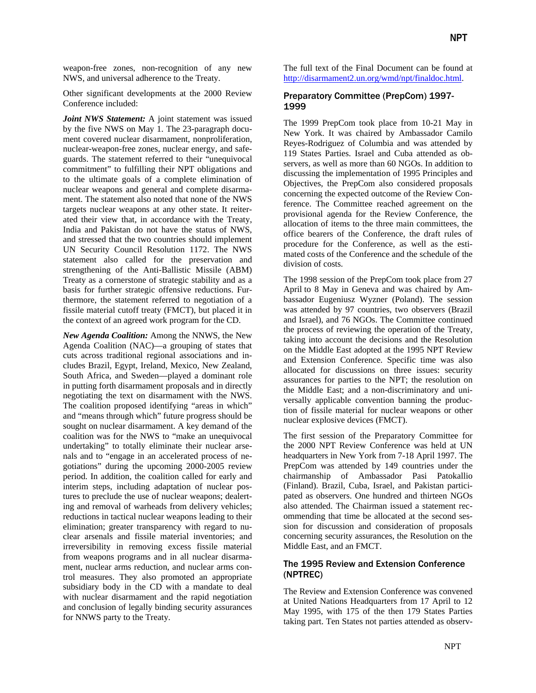weapon-free zones, non-recognition of any new NWS, and universal adherence to the Treaty.

Other significant developments at the 2000 Review Conference included:

*Joint NWS Statement:* A joint statement was issued by the five NWS on May 1. The 23-paragraph document covered nuclear disarmament, nonproliferation, nuclear-weapon-free zones, nuclear energy, and safeguards. The statement referred to their "unequivocal commitment" to fulfilling their NPT obligations and to the ultimate goals of a complete elimination of nuclear weapons and general and complete disarmament. The statement also noted that none of the NWS targets nuclear weapons at any other state. It reiterated their view that, in accordance with the Treaty, India and Pakistan do not have the status of NWS, and stressed that the two countries should implement UN Security Council Resolution 1172. The NWS statement also called for the preservation and strengthening of the Anti-Ballistic Missile (ABM) Treaty as a cornerstone of strategic stability and as a basis for further strategic offensive reductions. Furthermore, the statement referred to negotiation of a fissile material cutoff treaty (FMCT), but placed it in the context of an agreed work program for the CD.

*New Agenda Coalition:* Among the NNWS, the New Agenda Coalition (NAC)—a grouping of states that cuts across traditional regional associations and includes Brazil, Egypt, Ireland, Mexico, New Zealand, South Africa, and Sweden—played a dominant role in putting forth disarmament proposals and in directly negotiating the text on disarmament with the NWS. The coalition proposed identifying "areas in which" and "means through which" future progress should be sought on nuclear disarmament. A key demand of the coalition was for the NWS to "make an unequivocal undertaking" to totally eliminate their nuclear arsenals and to "engage in an accelerated process of negotiations" during the upcoming 2000-2005 review period. In addition, the coalition called for early and interim steps, including adaptation of nuclear postures to preclude the use of nuclear weapons; dealerting and removal of warheads from delivery vehicles; reductions in tactical nuclear weapons leading to their elimination; greater transparency with regard to nuclear arsenals and fissile material inventories; and irreversibility in removing excess fissile material from weapons programs and in all nuclear disarmament, nuclear arms reduction, and nuclear arms control measures. They also promoted an appropriate subsidiary body in the CD with a mandate to deal with nuclear disarmament and the rapid negotiation and conclusion of legally binding security assurances for NNWS party to the Treaty.

The full text of the Final Document can be found at [http://disarmament2.un.org/wmd/npt/finaldoc.html.](http://disarmament2.un.org/wmd/npt/finaldoc.html)

## Preparatory Committee (PrepCom) 1997- 1999

The 1999 PrepCom took place from 10-21 May in New York. It was chaired by Ambassador Camilo Reyes-Rodriguez of Columbia and was attended by 119 States Parties. Israel and Cuba attended as observers, as well as more than 60 NGOs. In addition to discussing the implementation of 1995 Principles and Objectives, the PrepCom also considered proposals concerning the expected outcome of the Review Conference. The Committee reached agreement on the provisional agenda for the Review Conference, the allocation of items to the three main committees, the office bearers of the Conference, the draft rules of procedure for the Conference, as well as the estimated costs of the Conference and the schedule of the division of costs.

The 1998 session of the PrepCom took place from 27 April to 8 May in Geneva and was chaired by Ambassador Eugeniusz Wyzner (Poland). The session was attended by 97 countries, two observers (Brazil and Israel), and 76 NGOs. The Committee continued the process of reviewing the operation of the Treaty, taking into account the decisions and the Resolution on the Middle East adopted at the 1995 NPT Review and Extension Conference. Specific time was also allocated for discussions on three issues: security assurances for parties to the NPT; the resolution on the Middle East; and a non-discriminatory and universally applicable convention banning the production of fissile material for nuclear weapons or other nuclear explosive devices (FMCT).

The first session of the Preparatory Committee for the 2000 NPT Review Conference was held at UN headquarters in New York from 7-18 April 1997. The PrepCom was attended by 149 countries under the chairmanship of Ambassador Pasi Patokallio (Finland). Brazil, Cuba, Israel, and Pakistan participated as observers. One hundred and thirteen NGOs also attended. The Chairman issued a statement recommending that time be allocated at the second session for discussion and consideration of proposals concerning security assurances, the Resolution on the Middle East, and an FMCT.

### The 1995 Review and Extension Conference (NPTREC)

The Review and Extension Conference was convened at United Nations Headquarters from 17 April to 12 May 1995, with 175 of the then 179 States Parties taking part. Ten States not parties attended as observ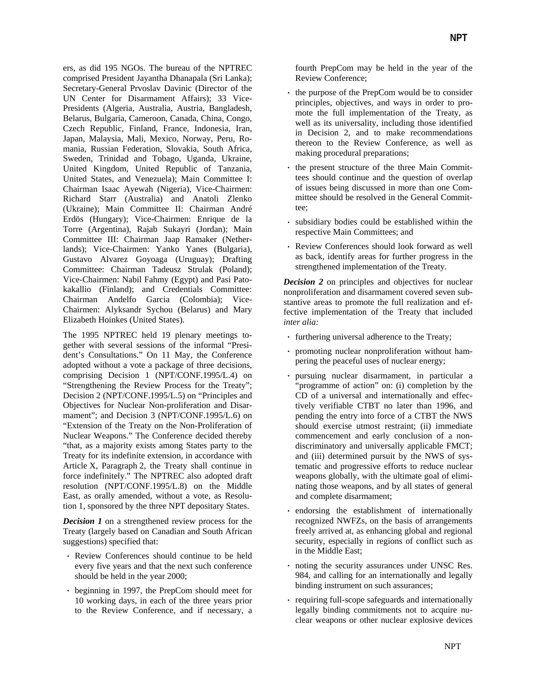ers, as did 195 NGOs. The bureau of the NPTREC comprised President Jayantha Dhanapala (Sri Lanka); Secretary-General Prvoslav Davinic (Director of the UN Center for Disarmament Affairs); 33 Vice-Presidents (Algeria, Australia, Austria, Bangladesh, Belarus, Bulgaria, Cameroon, Canada, China, Congo, Czech Republic, Finland, France, Indonesia, Iran, Japan, Malaysia, Mali, Mexico, Norway, Peru, Romania, Russian Federation, Slovakia, South Africa, Sweden, Trinidad and Tobago, Uganda, Ukraine, United Kingdom, United Republic of Tanzania, United States, and Venezuela); Main Committee I: Chairman Isaac Ayewah (Nigeria), Vice-Chairmen: Richard Starr (Australia) and Anatoli Zlenko (Ukraine); Main Committee II: Chairman André Erdös (Hungary); Vice-Chairmen: Enrique de la Torre (Argentina), Rajab Sukayri (Jordan); Main Committee III: Chairman Jaap Ramaker (Netherlands); Vice-Chairmen: Yanko Yanes (Bulgaria), Gustavo Alvarez Goyoaga (Uruguay); Drafting Committee: Chairman Tadeusz Strulak (Poland); Vice-Chairmen: Nabil Fahmy (Egypt) and Pasi Patokakallio (Finland); and Credentials Committee: Chairman Andelfo Garcia (Colombia); Vice-Chairmen: Alyksandr Sychou (Belarus) and Mary Elizabeth Hoinkes (United States).

The 1995 NPTREC held 19 plenary meetings together with several sessions of the informal "President's Consultations." On 11 May, the Conference adopted without a vote a package of three decisions, comprising Decision 1 (NPT/CONF.1995/L.4) on "Strengthening the Review Process for the Treaty"; Decision 2 (NPT/CONF.1995/L.5) on "Principles and Objectives for Nuclear Non-proliferation and Disarmament"; and Decision 3 (NPT/CONF.1995/L.6) on "Extension of the Treaty on the Non-Proliferation of Nuclear Weapons." The Conference decided thereby "that, as a majority exists among States party to the Treaty for its indefinite extension, in accordance with Article X, Paragraph 2, the Treaty shall continue in force indefinitely." The NPTREC also adopted draft resolution (NPT/CONF.1995/L.8) on the Middle East, as orally amended, without a vote, as Resolution 1, sponsored by the three NPT depositary States.

*Decision 1* on a strengthened review process for the Treaty (largely based on Canadian and South African suggestions) specified that:

- ⋅ Review Conferences should continue to be held every five years and that the next such conference should be held in the year 2000;
- ⋅ beginning in 1997, the PrepCom should meet for 10 working days, in each of the three years prior to the Review Conference, and if necessary, a

fourth PrepCom may be held in the year of the Review Conference;

- ⋅ the purpose of the PrepCom would be to consider principles, objectives, and ways in order to promote the full implementation of the Treaty, as well as its universality, including those identified in Decision 2, and to make recommendations thereon to the Review Conference, as well as making procedural preparations;
- ⋅ the present structure of the three Main Committees should continue and the question of overlap of issues being discussed in more than one Committee should be resolved in the General Committee;
- subsidiary bodies could be established within the respective Main Committees; and
- ⋅ Review Conferences should look forward as well as back, identify areas for further progress in the strengthened implementation of the Treaty.

*Decision 2* on principles and objectives for nuclear nonproliferation and disarmament covered seven substantive areas to promote the full realization and effective implementation of the Treaty that included *inter alia:*

- ⋅ furthering universal adherence to the Treaty;
- ⋅ promoting nuclear nonproliferation without hampering the peaceful uses of nuclear energy;
- ⋅ pursuing nuclear disarmament, in particular a "programme of action" on: (i) completion by the CD of a universal and internationally and effectively verifiable CTBT no later than 1996, and pending the entry into force of a CTBT the NWS should exercise utmost restraint; (ii) immediate commencement and early conclusion of a nondiscriminatory and universally applicable FMCT; and (iii) determined pursuit by the NWS of systematic and progressive efforts to reduce nuclear weapons globally, with the ultimate goal of eliminating those weapons, and by all states of general and complete disarmament;
- ⋅ endorsing the establishment of internationally recognized NWFZs, on the basis of arrangements freely arrived at, as enhancing global and regional security, especially in regions of conflict such as in the Middle East;
- noting the security assurances under UNSC Res. 984, and calling for an internationally and legally binding instrument on such assurances;
- ⋅ requiring full-scope safeguards and internationally legally binding commitments not to acquire nuclear weapons or other nuclear explosive devices